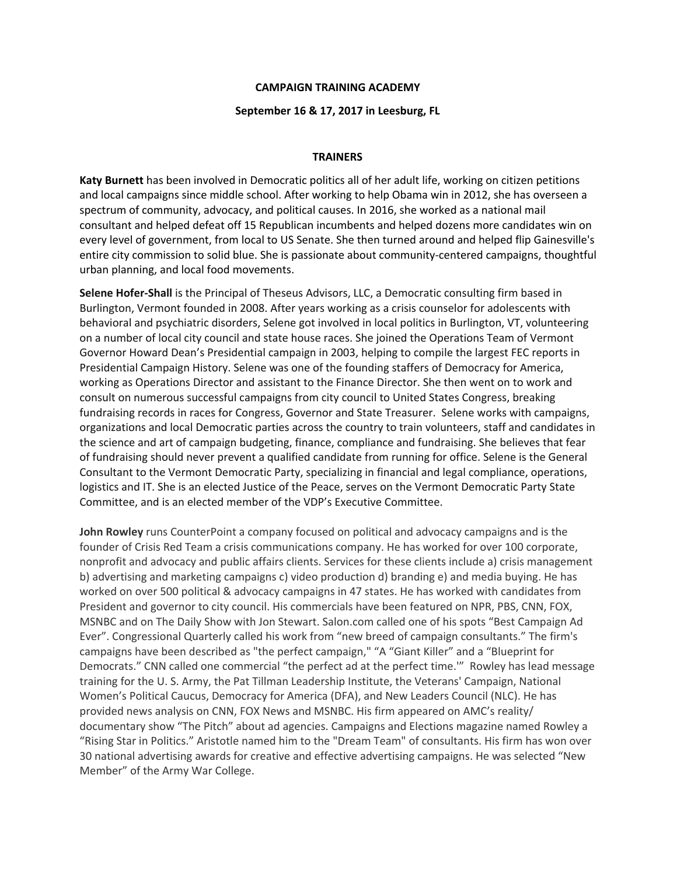## **CAMPAIGN TRAINING ACADEMY**

## **September 16 & 17, 2017 in Leesburg, FL**

## **TRAINERS**

**Katy Burnett** has been involved in Democratic politics all of her adult life, working on citizen petitions and local campaigns since middle school. After working to help Obama win in 2012, she has overseen a spectrum of community, advocacy, and political causes. In 2016, she worked as a national mail consultant and helped defeat off 15 Republican incumbents and helped dozens more candidates win on every level of government, from local to US Senate. She then turned around and helped flip Gainesville's entire city commission to solid blue. She is passionate about community-centered campaigns, thoughtful urban planning, and local food movements.

**Selene Hofer-Shall** is the Principal of Theseus Advisors, LLC, a Democratic consulting firm based in Burlington, Vermont founded in 2008. After years working as a crisis counselor for adolescents with behavioral and psychiatric disorders, Selene got involved in local politics in Burlington, VT, volunteering on a number of local city council and state house races. She joined the Operations Team of Vermont Governor Howard Dean's Presidential campaign in 2003, helping to compile the largest FEC reports in Presidential Campaign History. Selene was one of the founding staffers of Democracy for America, working as Operations Director and assistant to the Finance Director. She then went on to work and consult on numerous successful campaigns from city council to United States Congress, breaking fundraising records in races for Congress, Governor and State Treasurer. Selene works with campaigns, organizations and local Democratic parties across the country to train volunteers, staff and candidates in the science and art of campaign budgeting, finance, compliance and fundraising. She believes that fear of fundraising should never prevent a qualified candidate from running for office. Selene is the General Consultant to the Vermont Democratic Party, specializing in financial and legal compliance, operations, logistics and IT. She is an elected Justice of the Peace, serves on the Vermont Democratic Party State Committee, and is an elected member of the VDP's Executive Committee.

**John Rowley** runs CounterPoint a company focused on political and advocacy campaigns and is the founder of Crisis Red Team a crisis communications company. He has worked for over 100 corporate, nonprofit and advocacy and public affairs clients. Services for these clients include a) crisis management b) advertising and marketing campaigns c) video production d) branding e) and media buying. He has worked on over 500 political & advocacy campaigns in 47 states. He has worked with candidates from President and governor to city council. His commercials have been featured on NPR, PBS, CNN, FOX, MSNBC and on The Daily Show with Jon Stewart. Salon.com called one of his spots "Best Campaign Ad Ever". Congressional Quarterly called his work from "new breed of campaign consultants." The firm's campaigns have been described as "the perfect campaign," "A "Giant Killer" and a "Blueprint for Democrats." CNN called one commercial "the perfect ad at the perfect time.'" Rowley has lead message training for the U. S. Army, the Pat Tillman Leadership Institute, the Veterans' Campaign, National Women's Political Caucus, Democracy for America (DFA), and New Leaders Council (NLC). He has provided news analysis on CNN, FOX News and MSNBC. His firm appeared on AMC's reality/ documentary show "The Pitch" about ad agencies. Campaigns and Elections magazine named Rowley a "Rising Star in Politics." Aristotle named him to the "Dream Team" of consultants. His firm has won over 30 national advertising awards for creative and effective advertising campaigns. He was selected "New Member" of the Army War College.